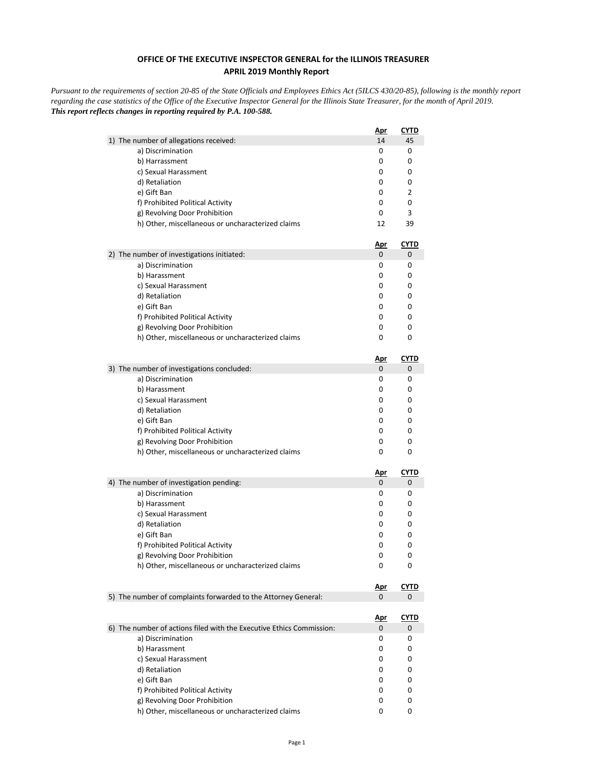## **OFFICE OF THE EXECUTIVE INSPECTOR GENERAL for the ILLINOIS TREASURER APRIL 2019 Monthly Report**

*Pursuant to the requirements of section 20-85 of the State Officials and Employees Ethics Act (5ILCS 430/20-85), following is the monthly report regarding the case statistics of the Office of the Executive Inspector General for the Illinois State Treasurer, for the month of April 2019. This report reflects changes in reporting required by P.A. 100-588.*

|                                                                      | <u>Apr</u> | <u>CYTD</u> |
|----------------------------------------------------------------------|------------|-------------|
| 1) The number of allegations received:                               | 14         | 45          |
| a) Discrimination                                                    | 0          | 0           |
| b) Harrassment                                                       | 0          | 0           |
| c) Sexual Harassment                                                 | 0          | 0           |
| d) Retaliation                                                       | 0          | 0           |
| e) Gift Ban                                                          | 0          | 2           |
| f) Prohibited Political Activity                                     | 0          | 0           |
| g) Revolving Door Prohibition                                        | 0          | 3           |
| h) Other, miscellaneous or uncharacterized claims                    | 12         | 39          |
|                                                                      | <u>Apr</u> | <u>CYTD</u> |
| 2) The number of investigations initiated:                           | 0          | 0           |
| a) Discrimination                                                    | 0          | 0           |
| b) Harassment                                                        | 0          | 0           |
| c) Sexual Harassment                                                 | 0          | 0           |
| d) Retaliation                                                       | 0          | 0           |
| e) Gift Ban                                                          | 0          | 0           |
| f) Prohibited Political Activity                                     | 0          | 0           |
| g) Revolving Door Prohibition                                        | 0          | 0           |
| h) Other, miscellaneous or uncharacterized claims                    | 0          | 0           |
|                                                                      | <u>Apr</u> | <b>CYTD</b> |
| 3) The number of investigations concluded:                           | 0          | 0           |
| a) Discrimination                                                    | 0          | 0           |
| b) Harassment                                                        | 0          | 0           |
| c) Sexual Harassment                                                 | 0          | 0           |
| d) Retaliation                                                       | 0          | 0           |
| e) Gift Ban                                                          | 0          | 0           |
| f) Prohibited Political Activity                                     | 0          | 0           |
| g) Revolving Door Prohibition                                        | 0          | 0           |
| h) Other, miscellaneous or uncharacterized claims                    | 0          | 0           |
|                                                                      | <u>Apr</u> | <u>CYTD</u> |
| 4) The number of investigation pending:                              | 0          | 0           |
| a) Discrimination                                                    | 0          | 0           |
| b) Harassment                                                        | 0          | 0           |
| c) Sexual Harassment                                                 | 0          | 0           |
| d) Retaliation                                                       | 0          | 0           |
| e) Gift Ban                                                          | 0          | 0           |
| f) Prohibited Political Activity                                     | 0          | 0           |
| g) Revolving Door Prohibition                                        | 0          | 0           |
| h) Other, miscellaneous or uncharacterized claims                    | 0          | 0           |
|                                                                      | <u>Apr</u> | <b>CYTD</b> |
| 5) The number of complaints forwarded to the Attorney General:       | 0          | 0           |
|                                                                      | <u>Apr</u> | <u>CYTD</u> |
| 6) The number of actions filed with the Executive Ethics Commission: | 0          | 0           |
| a) Discrimination                                                    | 0          | 0           |
| b) Harassment                                                        | 0          | 0           |
| c) Sexual Harassment                                                 | 0          | 0           |
| d) Retaliation                                                       | 0          | 0           |
| e) Gift Ban                                                          | 0          | 0           |
| f) Prohibited Political Activity                                     | 0          | 0           |
| g) Revolving Door Prohibition                                        | 0          | 0           |
| h) Other, miscellaneous or uncharacterized claims                    | 0          | 0           |